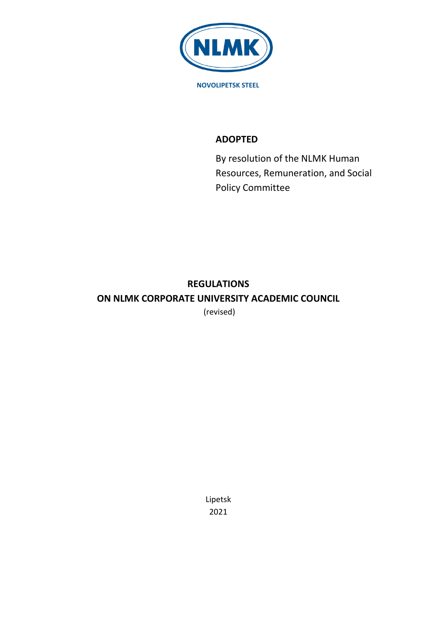

# **ADOPTED**

By resolution of the NLMK Human Resources, Remuneration, and Social Policy Committee

# **REGULATIONS ON NLMK CORPORATE UNIVERSITY ACADEMIC COUNCIL**

(revised)

Lipetsk 2021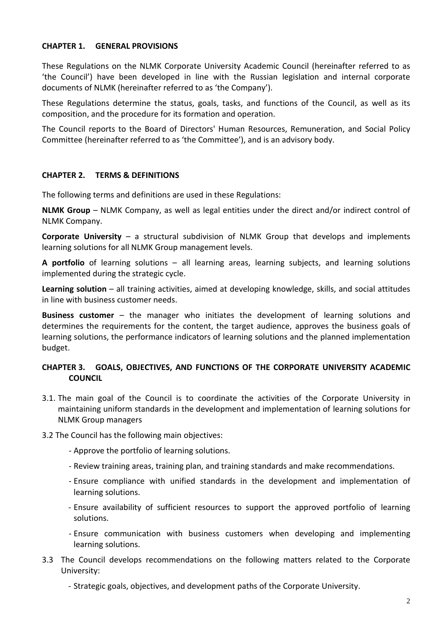#### **CHAPTER 1. GENERAL PROVISIONS**

These Regulations on the NLMK Corporate University Academic Council (hereinafter referred to as 'the Council') have been developed in line with the Russian legislation and internal corporate documents of NLMK (hereinafter referred to as 'the Company').

These Regulations determine the status, goals, tasks, and functions of the Council, as well as its composition, and the procedure for its formation and operation.

The Council reports to the Board of Directors' Human Resources, Remuneration, and Social Policy Committee (hereinafter referred to as 'the Committee'), and is an advisory body.

#### **CHAPTER 2. TERMS & DEFINITIONS**

The following terms and definitions are used in these Regulations:

**NLMK Group** – NLMK Company, as well as legal entities under the direct and/or indirect control of NLMK Company.

**Corporate University** – a structural subdivision of NLMK Group that develops and implements learning solutions for all NLMK Group management levels.

**A portfolio** of learning solutions – all learning areas, learning subjects, and learning solutions implemented during the strategic cycle.

**Learning solution** – all training activities, aimed at developing knowledge, skills, and social attitudes in line with business customer needs.

**Business customer** – the manager who initiates the development of learning solutions and determines the requirements for the content, the target audience, approves the business goals of learning solutions, the performance indicators of learning solutions and the planned implementation budget.

# **CHAPTER 3. GOALS, OBJECTIVES, AND FUNCTIONS OF THE CORPORATE UNIVERSITY ACADEMIC COUNCIL**

3.1. The main goal of the Council is to coordinate the activities of the Corporate University in maintaining uniform standards in the development and implementation of learning solutions for NLMK Group managers

3.2 The Council has the following main objectives:

- Approve the portfolio of learning solutions.
- Review training areas, training plan, and training standards and make recommendations.
- Ensure compliance with unified standards in the development and implementation of learning solutions.
- Ensure availability of sufficient resources to support the approved portfolio of learning solutions.
- Ensure communication with business customers when developing and implementing learning solutions.
- 3.3 The Council develops recommendations on the following matters related to the Corporate University:
	- Strategic goals, objectives, and development paths of the Corporate University.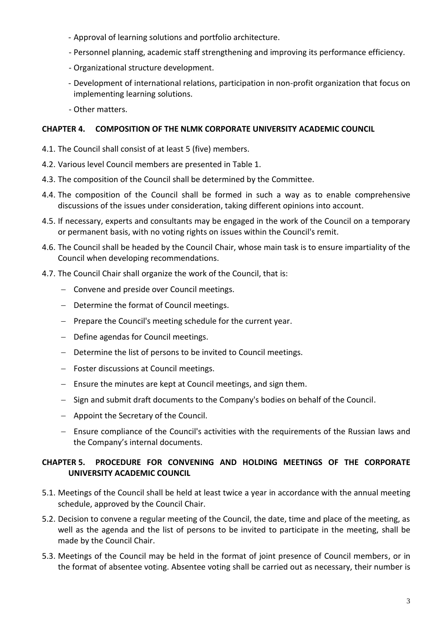- Approval of learning solutions and portfolio architecture.
- Personnel planning, academic staff strengthening and improving its performance efficiency.
- Organizational structure development.
- Development of international relations, participation in non-profit organization that focus on implementing learning solutions.
- Other matters.

# **CHAPTER 4. COMPOSITION OF THE NLMK CORPORATE UNIVERSITY ACADEMIC COUNCIL**

- 4.1. The Council shall consist of at least 5 (five) members.
- 4.2. Various level Council members are presented in Table 1.
- 4.3. The composition of the Council shall be determined by the Committee.
- 4.4. The composition of the Council shall be formed in such a way as to enable comprehensive discussions of the issues under consideration, taking different opinions into account.
- 4.5. If necessary, experts and consultants may be engaged in the work of the Council on a temporary or permanent basis, with no voting rights on issues within the Council's remit.
- 4.6. The Council shall be headed by the Council Chair, whose main task is to ensure impartiality of the Council when developing recommendations.
- 4.7. The Council Chair shall organize the work of the Council, that is:
	- Convene and preside over Council meetings.
	- Determine the format of Council meetings.
	- $P$  Prepare the Council's meeting schedule for the current year.
	- Define agendas for Council meetings.
	- Determine the list of persons to be invited to Council meetings.
	- Foster discussions at Council meetings.
	- Ensure the minutes are kept at Council meetings, and sign them.
	- Sign and submit draft documents to the Company's bodies on behalf of the Council.
	- $-$  Appoint the Secretary of the Council.
	- Ensure compliance of the Council's activities with the requirements of the Russian laws and the Company's internal documents.

# **CHAPTER 5. PROCEDURE FOR CONVENING AND HOLDING MEETINGS OF THE CORPORATE UNIVERSITY ACADEMIC COUNCIL**

- 5.1. Meetings of the Council shall be held at least twice a year in accordance with the annual meeting schedule, approved by the Council Chair.
- 5.2. Decision to convene a regular meeting of the Council, the date, time and place of the meeting, as well as the agenda and the list of persons to be invited to participate in the meeting, shall be made by the Council Chair.
- 5.3. Meetings of the Council may be held in the format of joint presence of Council members, or in the format of absentee voting. Absentee voting shall be carried out as necessary, their number is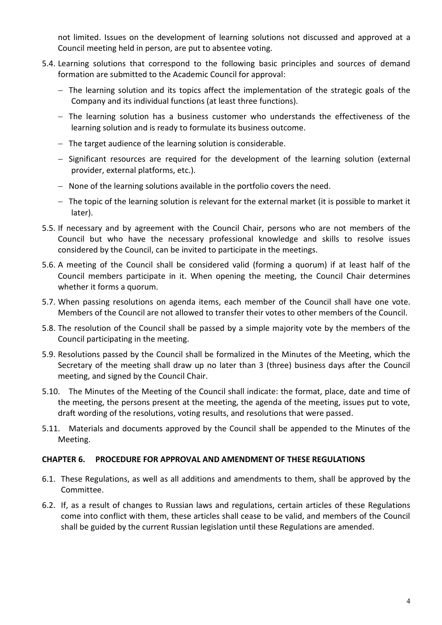not limited. Issues on the development of learning solutions not discussed and approved at a Council meeting held in person, are put to absentee voting.

- 5.4. Learning solutions that correspond to the following basic principles and sources of demand formation are submitted to the Academic Council for approval:
	- The learning solution and its topics affect the implementation of the strategic goals of the Company and its individual functions (at least three functions).
	- $-$  The learning solution has a business customer who understands the effectiveness of the learning solution and is ready to formulate its business outcome.
	- $-$  The target audience of the learning solution is considerable.
	- Significant resources are required for the development of the learning solution (external provider, external platforms, etc.).
	- None of the learning solutions available in the portfolio covers the need.
	- $-$  The topic of the learning solution is relevant for the external market (it is possible to market it later).
- 5.5. If necessary and by agreement with the Council Chair, persons who are not members of the Council but who have the necessary professional knowledge and skills to resolve issues considered by the Council, can be invited to participate in the meetings.
- 5.6. A meeting of the Council shall be considered valid (forming a quorum) if at least half of the Council members participate in it. When opening the meeting, the Council Chair determines whether it forms a quorum.
- 5.7. When passing resolutions on agenda items, each member of the Council shall have one vote. Members of the Council are not allowed to transfer their votes to other members of the Council.
- 5.8. The resolution of the Council shall be passed by a simple majority vote by the members of the Council participating in the meeting.
- 5.9. Resolutions passed by the Council shall be formalized in the Minutes of the Meeting, which the Secretary of the meeting shall draw up no later than 3 (three) business days after the Council meeting, and signed by the Council Chair.
- 5.10. The Minutes of the Meeting of the Council shall indicate: the format, place, date and time of the meeting, the persons present at the meeting, the agenda of the meeting, issues put to vote, draft wording of the resolutions, voting results, and resolutions that were passed.
- 5.11. Materials and documents approved by the Council shall be appended to the Minutes of the Meeting.

#### **CHAPTER 6. PROCEDURE FOR APPROVAL AND AMENDMENT OF THESE REGULATIONS**

- 6.1. These Regulations, as well as all additions and amendments to them, shall be approved by the Committee.
- 6.2. If, as a result of changes to Russian laws and regulations, certain articles of these Regulations come into conflict with them, these articles shall cease to be valid, and members of the Council shall be guided by the current Russian legislation until these Regulations are amended.